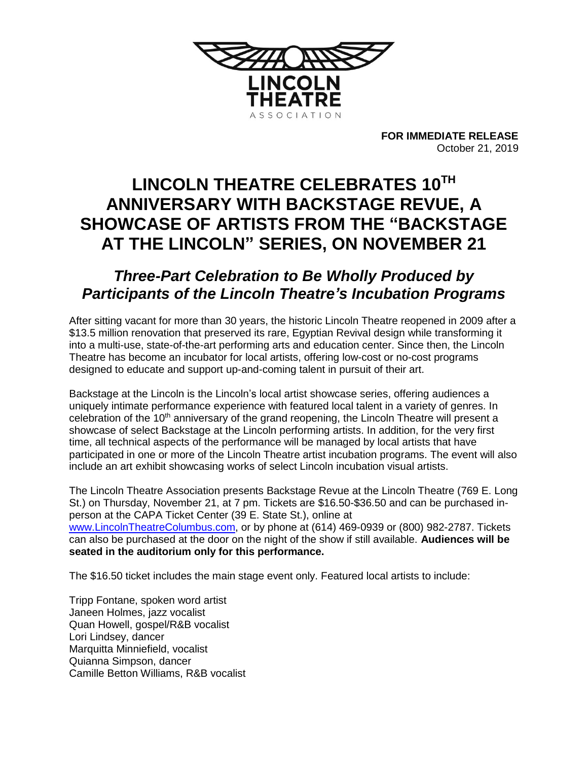

**FOR IMMEDIATE RELEASE** October 21, 2019

# LINCOLN THEATRE CELEBRATES 10TH **ANNIVERSARY WITH BACKSTAGE REVUE, A SHOWCASE OF ARTISTS FROM THE "BACKSTAGE AT THE LINCOLN" SERIES, ON NOVEMBER 21**

## *Three-Part Celebration to Be Wholly Produced by Participants of the Lincoln Theatre's Incubation Programs*

After sitting vacant for more than 30 years, the historic Lincoln Theatre reopened in 2009 after a \$13.5 million renovation that preserved its rare, Egyptian Revival design while transforming it into a multi-use, state-of-the-art performing arts and education center. Since then, the Lincoln Theatre has become an incubator for local artists, offering low-cost or no-cost programs designed to educate and support up-and-coming talent in pursuit of their art.

Backstage at the Lincoln is the Lincoln's local artist showcase series, offering audiences a uniquely intimate performance experience with featured local talent in a variety of genres. In celebration of the 10<sup>th</sup> anniversary of the grand reopening, the Lincoln Theatre will present a showcase of select Backstage at the Lincoln performing artists. In addition, for the very first time, all technical aspects of the performance will be managed by local artists that have participated in one or more of the Lincoln Theatre artist incubation programs. The event will also include an art exhibit showcasing works of select Lincoln incubation visual artists.

The Lincoln Theatre Association presents Backstage Revue at the Lincoln Theatre (769 E. Long St.) on Thursday, November 21, at 7 pm. Tickets are \$16.50-\$36.50 and can be purchased inperson at the CAPA Ticket Center (39 E. State St.), online at [www.LincolnTheatreColumbus.com,](http://www.lincolntheatrecolumbus.com/) or by phone at (614) 469-0939 or (800) 982-2787. Tickets can also be purchased at the door on the night of the show if still available. **Audiences will be seated in the auditorium only for this performance.**

The \$16.50 ticket includes the main stage event only. Featured local artists to include:

Tripp Fontane, spoken word artist Janeen Holmes, jazz vocalist Quan Howell, gospel/R&B vocalist Lori Lindsey, dancer Marquitta Minniefield, vocalist Quianna Simpson, dancer Camille Betton Williams, R&B vocalist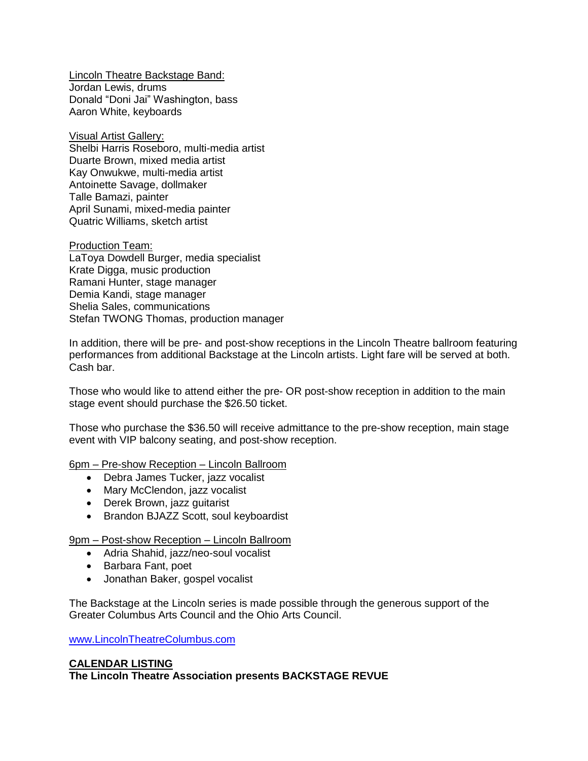Lincoln Theatre Backstage Band: Jordan Lewis, drums Donald "Doni Jai" Washington, bass Aaron White, keyboards

Visual Artist Gallery: Shelbi Harris Roseboro, multi-media artist Duarte Brown, mixed media artist Kay Onwukwe, multi-media artist Antoinette Savage, dollmaker Talle Bamazi, painter April Sunami, mixed-media painter Quatric Williams, sketch artist

Production Team: LaToya Dowdell Burger, media specialist Krate Digga, music production Ramani Hunter, stage manager Demia Kandi, stage manager Shelia Sales, communications Stefan TWONG Thomas, production manager

In addition, there will be pre- and post-show receptions in the Lincoln Theatre ballroom featuring performances from additional Backstage at the Lincoln artists. Light fare will be served at both. Cash bar.

Those who would like to attend either the pre- OR post-show reception in addition to the main stage event should purchase the \$26.50 ticket.

Those who purchase the \$36.50 will receive admittance to the pre-show reception, main stage event with VIP balcony seating, and post-show reception.

6pm – Pre-show Reception – Lincoln Ballroom

- Debra James Tucker, jazz vocalist
- Mary McClendon, jazz vocalist
- Derek Brown, jazz guitarist
- Brandon BJAZZ Scott, soul keyboardist

9pm – Post-show Reception – Lincoln Ballroom

- Adria Shahid, jazz/neo-soul vocalist
- Barbara Fant, poet
- Jonathan Baker, gospel vocalist

The Backstage at the Lincoln series is made possible through the generous support of the Greater Columbus Arts Council and the Ohio Arts Council.

[www.LincolnTheatreColumbus.com](http://www.lincolntheatrecolumbus.com/)

### **CALENDAR LISTING The Lincoln Theatre Association presents BACKSTAGE REVUE**